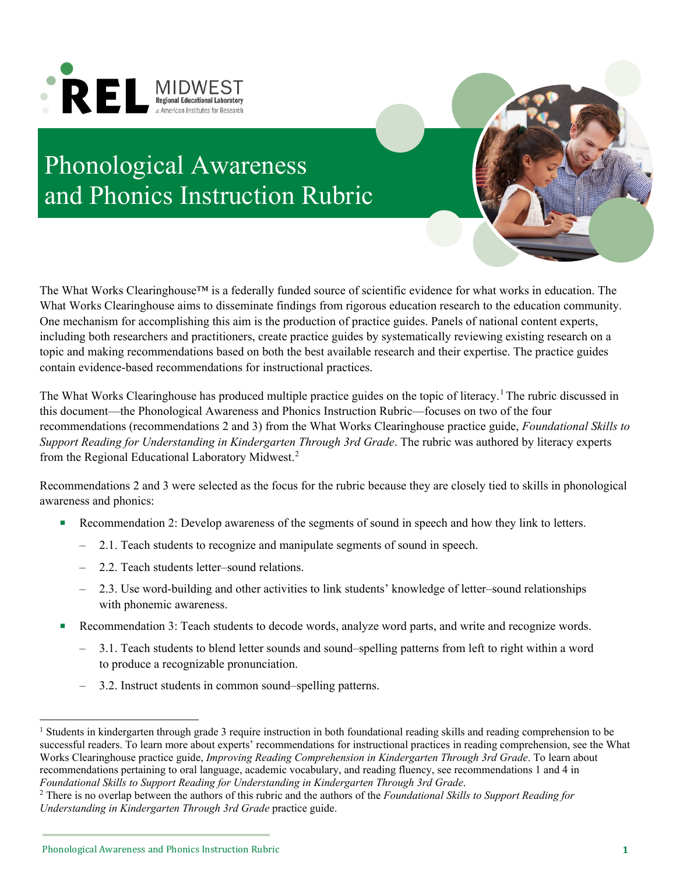



The What Works Clearinghouse™ is a federally funded source of scientific evidence for what works in education. The What Works Clearinghouse aims to disseminate findings from rigorous education research to the education community. One mechanism for accomplishing this aim is the production of practice guides. Panels of national content experts, including both researchers and practitioners, create practice guides by systematically reviewing existing research on a topic and making recommendations based on both the best available research and their expertise. The practice guides contain evidence-based recommendations for instructional practices.

The What Works Clearinghouse has produced multiple practice guides on the topic of literacy.<sup>1</sup> The rubric discussed in this document—the Phonological Awareness and Phonics Instruction Rubric—focuses on two of the four recommendations (recommendations 2 and 3) from the What Works Clearinghouse practice guide, *Foundational Skills to Support Reading for Understanding in Kindergarten Through 3rd Grade*. The rubric was authored by literacy experts from the Regional Educational Laboratory Midwest.<sup>2</sup>

Recommendations 2 and 3 were selected as the focus for the rubric because they are closely tied to skills in phonological awareness and phonics:

- Recommendation 2: Develop awareness of the segments of sound in speech and how they link to letters.
	- 2.1. Teach students to recognize and manipulate segments of sound in speech.
	- 2.2. Teach students letter–sound relations.
	- 2.3. Use word-building and other activities to link students' knowledge of letter–sound relationships with phonemic awareness.
- Recommendation 3: Teach students to decode words, analyze word parts, and write and recognize words.
	- 3.1. Teach students to blend letter sounds and sound–spelling patterns from left to right within a word to produce a recognizable pronunciation.
	- 3.2. Instruct students in common sound–spelling patterns.

<span id="page-0-0"></span><sup>&</sup>lt;sup>1</sup> Students in kindergarten through grade 3 require instruction in both foundational reading skills and reading comprehension to be successful readers. To learn more about experts' recommendations for instructional practices in reading comprehension, see the What Works Clearinghouse practice guide, *Improving Reading Comprehension in Kindergarten Through 3rd Grade*. To learn about recommendations pertaining to oral language, academic vocabulary, and reading fluency, see recommendations 1 and 4 in

<span id="page-0-1"></span>Foundational Skills to Support Reading for Understanding in Kindergarten Through 3rd Grade.<br><sup>2</sup> There is no overlap between the authors of this rubric and the authors of the Foundational Skills to Support Reading for *Understanding in Kindergarten Through 3rd Grade* practice guide.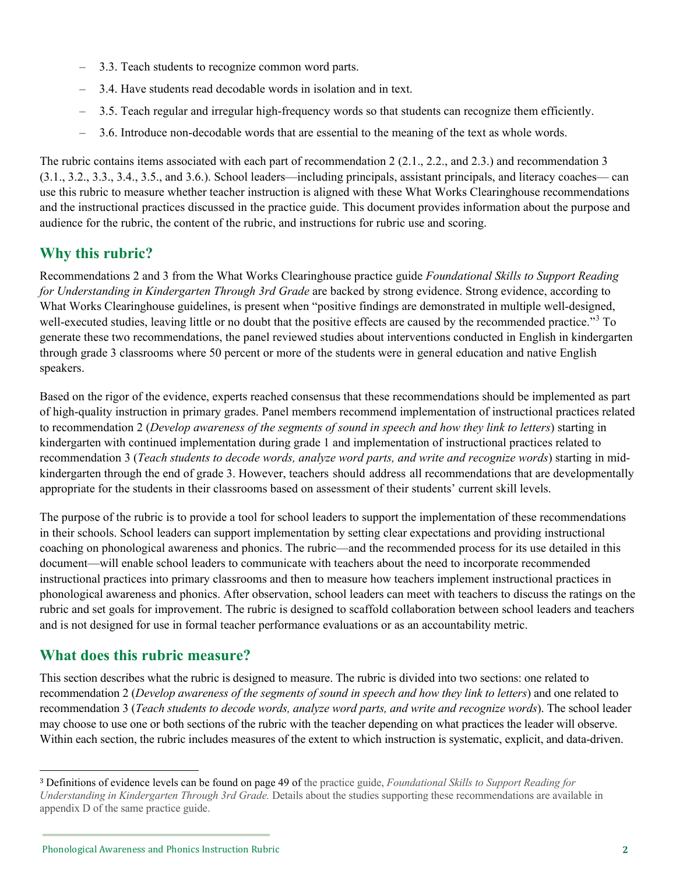- 3.3. Teach students to recognize common word parts.
- 3.4. Have students read decodable words in isolation and in text.
- 3.5. Teach regular and irregular high-frequency words so that students can recognize them efficiently.
- 3.6. Introduce non-decodable words that are essential to the meaning of the text as whole words.

The rubric contains items associated with each part of recommendation 2 (2.1., 2.2., and 2.3.) and recommendation 3 (3.1., 3.2., 3.3., 3.4., 3.5., and 3.6.). School leaders—including principals, assistant principals, and literacy coaches— can use this rubric to measure whether teacher instruction is aligned with these What Works Clearinghouse recommendations and the instructional practices discussed in the practice guide. This document provides information about the purpose and audience for the rubric, the content of the rubric, and instructions for rubric use and scoring.

## **Why this rubric?**

Recommendations 2 and 3 from the What Works Clearinghouse practice guide *Foundational Skills to Support Reading for Understanding in Kindergarten Through 3rd Grade* are backed by strong evidence. Strong evidence, according to What Works Clearinghouse guidelines, is present when "positive findings are demonstrated in multiple well-designed, well-executed studies, leaving little or no doubt that the positive effects are caused by the recommended practice."<sup>[3](#page-1-0)</sup> To generate these two recommendations, the panel reviewed studies about interventions conducted in English in kindergarten through grade 3 classrooms where 50 percent or more of the students were in general education and native English speakers.

Based on the rigor of the evidence, experts reached consensus that these recommendations should be implemented as part of high-quality instruction in primary grades. Panel members recommend implementation of instructional practices related to recommendation 2 (*Develop awareness of the segments of sound in speech and how they link to letters*) starting in kindergarten with continued implementation during grade 1 and implementation of instructional practices related to recommendation 3 (*Teach students to decode words, analyze word parts, and write and recognize words*) starting in midkindergarten through the end of grade 3. However, teachers should address all recommendations that are developmentally appropriate for the students in their classrooms based on assessment of their students' current skill levels.

The purpose of the rubric is to provide a tool for school leaders to support the implementation of these recommendations in their schools. School leaders can support implementation by setting clear expectations and providing instructional coaching on phonological awareness and phonics. The rubric—and the recommended process for its use detailed in this document—will enable school leaders to communicate with teachers about the need to incorporate recommended instructional practices into primary classrooms and then to measure how teachers implement instructional practices in phonological awareness and phonics. After observation, school leaders can meet with teachers to discuss the ratings on the rubric and set goals for improvement. The rubric is designed to scaffold collaboration between school leaders and teachers and is not designed for use in formal teacher performance evaluations or as an accountability metric.

# **What does this rubric measure?**

This section describes what the rubric is designed to measure. The rubric is divided into two sections: one related to recommendation 2 (*Develop awareness of the segments of sound in speech and how they link to letters*) and one related to recommendation 3 (*Teach students to decode words, analyze word parts, and write and recognize words*). The school leader may choose to use one or both sections of the rubric with the teacher depending on what practices the leader will observe. Within each section, the rubric includes measures of the extent to which instruction is systematic, explicit, and data-driven.

<span id="page-1-0"></span><sup>3</sup> Definitions of evidence levels can be found on page 49 of the practice guide, *Foundational Skills to Support Reading for Understanding in Kindergarten Through 3rd Grade.* Details about the studies supporting these recommendations are available in appendix D of the same practice guide.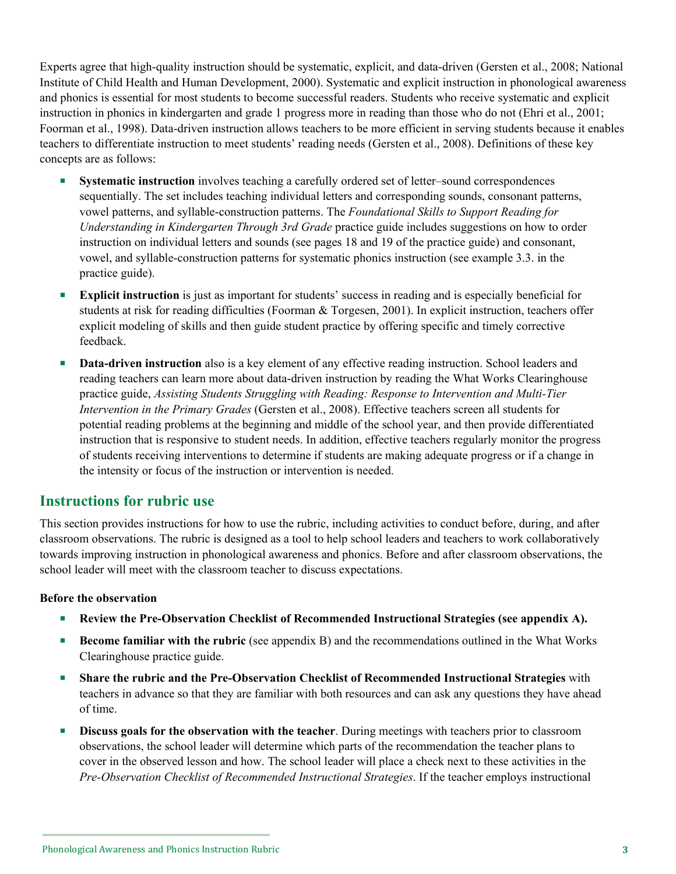Experts agree that high-quality instruction should be systematic, explicit, and data-driven (Gersten et al., 2008; National Institute of Child Health and Human Development, 2000). Systematic and explicit instruction in phonological awareness and phonics is essential for most students to become successful readers. Students who receive systematic and explicit instruction in phonics in kindergarten and grade 1 progress more in reading than those who do not (Ehri et al., 2001; Foorman et al., 1998). Data-driven instruction allows teachers to be more efficient in serving students because it enables teachers to differentiate instruction to meet students' reading needs (Gersten et al., 2008). Definitions of these key concepts are as follows:

- **Systematic instruction** involves teaching a carefully ordered set of letter–sound correspondences sequentially. The set includes teaching individual letters and corresponding sounds, consonant patterns, vowel patterns, and syllable-construction patterns. The *Foundational Skills to Support Reading for Understanding in Kindergarten Through 3rd Grade* practice guide includes suggestions on how to order instruction on individual letters and sounds (see pages 18 and 19 of the practice guide) and consonant, vowel, and syllable-construction patterns for systematic phonics instruction (see example 3.3. in the practice guide).
- **Explicit instruction** is just as important for students' success in reading and is especially beneficial for students at risk for reading difficulties (Foorman & Torgesen, 2001). In explicit instruction, teachers offer explicit modeling of skills and then guide student practice by offering specific and timely corrective feedback.
- **Data-driven instruction** also is a key element of any effective reading instruction. School leaders and reading teachers can learn more about data-driven instruction by reading the What Works Clearinghouse practice guide, *Assisting Students Struggling with Reading: Response to Intervention and Multi-Tier Intervention in the Primary Grades* (Gersten et al., 2008). Effective teachers screen all students for potential reading problems at the beginning and middle of the school year, and then provide differentiated instruction that is responsive to student needs. In addition, effective teachers regularly monitor the progress of students receiving interventions to determine if students are making adequate progress or if a change in the intensity or focus of the instruction or intervention is needed.

### **Instructions for rubric use**

This section provides instructions for how to use the rubric, including activities to conduct before, during, and after classroom observations. The rubric is designed as a tool to help school leaders and teachers to work collaboratively towards improving instruction in phonological awareness and phonics. Before and after classroom observations, the school leader will meet with the classroom teacher to discuss expectations.

#### **Before the observation**

- **Review the Pre-Observation Checklist of Recommended Instructional Strategies (see appendix A).**
- **Become familiar with the rubric** (see appendix B) and the recommendations outlined in the What Works Clearinghouse practice guide.
- **Share the rubric and the Pre-Observation Checklist of Recommended Instructional Strategies** with teachers in advance so that they are familiar with both resources and can ask any questions they have ahead of time.
- **Discuss goals for the observation with the teacher**. During meetings with teachers prior to classroom observations, the school leader will determine which parts of the recommendation the teacher plans to cover in the observed lesson and how. The school leader will place a check next to these activities in the *Pre-Observation Checklist of Recommended Instructional Strategies*. If the teacher employs instructional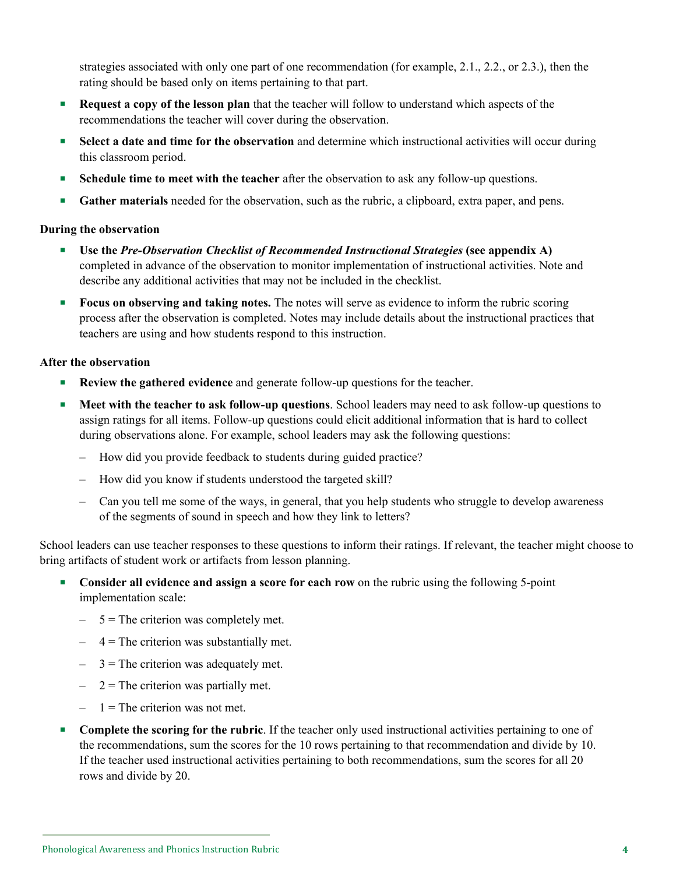strategies associated with only one part of one recommendation (for example, 2.1., 2.2., or 2.3.), then the rating should be based only on items pertaining to that part.

- **Request a copy of the lesson plan** that the teacher will follow to understand which aspects of the recommendations the teacher will cover during the observation.
- **Select a date and time for the observation** and determine which instructional activities will occur during this classroom period.
- **Schedule time to meet with the teacher** after the observation to ask any follow-up questions.
- **Gather materials** needed for the observation, such as the rubric, a clipboard, extra paper, and pens.

#### **During the observation**

- **Use the** *Pre-Observation Checklist of Recommended Instructional Strategies* **(see appendix A)**  completed in advance of the observation to monitor implementation of instructional activities. Note and describe any additional activities that may not be included in the checklist.
- **Focus on observing and taking notes.** The notes will serve as evidence to inform the rubric scoring process after the observation is completed. Notes may include details about the instructional practices that teachers are using and how students respond to this instruction.

#### **After the observation**

- **Review the gathered evidence** and generate follow-up questions for the teacher.
- **Meet with the teacher to ask follow-up questions**. School leaders may need to ask follow-up questions to assign ratings for all items. Follow-up questions could elicit additional information that is hard to collect during observations alone. For example, school leaders may ask the following questions:
	- How did you provide feedback to students during guided practice?
	- How did you know if students understood the targeted skill?
	- Can you tell me some of the ways, in general, that you help students who struggle to develop awareness of the segments of sound in speech and how they link to letters?

School leaders can use teacher responses to these questions to inform their ratings. If relevant, the teacher might choose to bring artifacts of student work or artifacts from lesson planning.

- **Consider all evidence and assign a score for each row** on the rubric using the following 5-point implementation scale:
	- $-5$  = The criterion was completely met.
	- $-$  4 = The criterion was substantially met.
	- $-$  3 = The criterion was adequately met.
	- $2 =$ The criterion was partially met.
	- $1$  = The criterion was not met.
- **Complete the scoring for the rubric**. If the teacher only used instructional activities pertaining to one of the recommendations, sum the scores for the 10 rows pertaining to that recommendation and divide by 10. If the teacher used instructional activities pertaining to both recommendations, sum the scores for all 20 rows and divide by 20.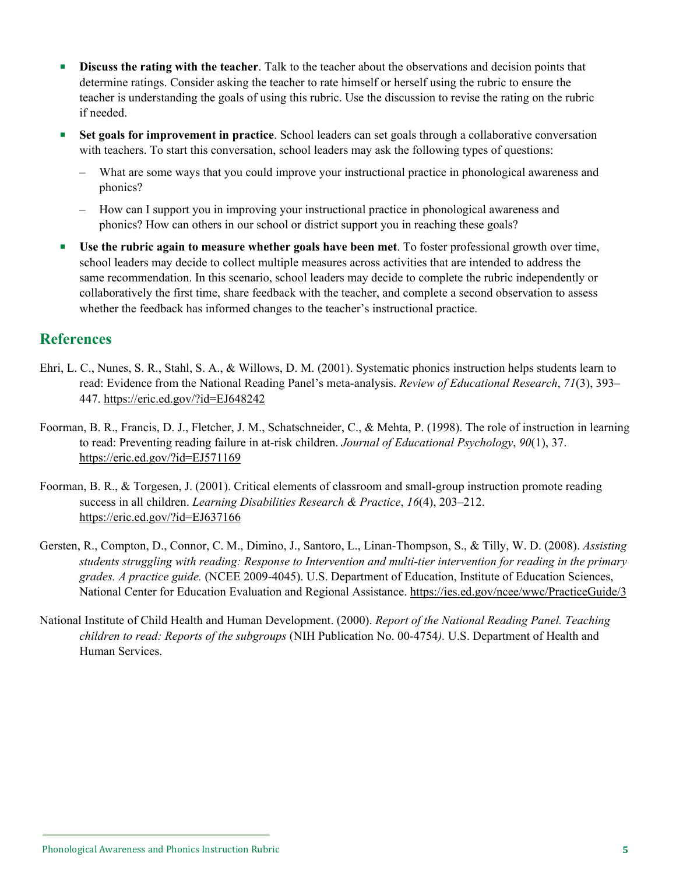- **Discuss the rating with the teacher**. Talk to the teacher about the observations and decision points that determine ratings. Consider asking the teacher to rate himself or herself using the rubric to ensure the teacher is understanding the goals of using this rubric. Use the discussion to revise the rating on the rubric if needed.
- **Set goals for improvement in practice**. School leaders can set goals through a collaborative conversation with teachers. To start this conversation, school leaders may ask the following types of questions:
	- What are some ways that you could improve your instructional practice in phonological awareness and phonics?
	- How can I support you in improving your instructional practice in phonological awareness and phonics? How can others in our school or district support you in reaching these goals?
- **Use the rubric again to measure whether goals have been met**. To foster professional growth over time, school leaders may decide to collect multiple measures across activities that are intended to address the same recommendation. In this scenario, school leaders may decide to complete the rubric independently or collaboratively the first time, share feedback with the teacher, and complete a second observation to assess whether the feedback has informed changes to the teacher's instructional practice.

## **References**

- Ehri, L. C., Nunes, S. R., Stahl, S. A., & Willows, D. M. (2001). Systematic phonics instruction helps students learn to read: Evidence from the National Reading Panel's meta-analysis. *Review of Educational Research*, *71*(3), 393– 447. <https://eric.ed.gov/?id=EJ648242>
- Foorman, B. R., Francis, D. J., Fletcher, J. M., Schatschneider, C., & Mehta, P. (1998). The role of instruction in learning to read: Preventing reading failure in at-risk children. *Journal of Educational Psychology*, *90*(1), 37. <https://eric.ed.gov/?id=EJ571169>
- Foorman, B. R., & Torgesen, J. (2001). Critical elements of classroom and small-group instruction promote reading success in all children. *Learning Disabilities Research & Practice*, *16*(4), 203–212. <https://eric.ed.gov/?id=EJ637166>
- Gersten, R., Compton, D., Connor, C. M., Dimino, J., Santoro, L., Linan-Thompson, S., & Tilly, W. D. (2008). *Assisting students struggling with reading: Response to Intervention and multi-tier intervention for reading in the primary grades. A practice guide.* (NCEE 2009-4045). U.S. Department of Education, Institute of Education Sciences, National Center for Education Evaluation and Regional Assistance.<https://ies.ed.gov/ncee/wwc/PracticeGuide/3>
- National Institute of Child Health and Human Development. (2000). *Report of the National Reading Panel. Teaching children to read: Reports of the subgroups* (NIH Publication No. 00-4754*).* U.S. Department of Health and Human Services.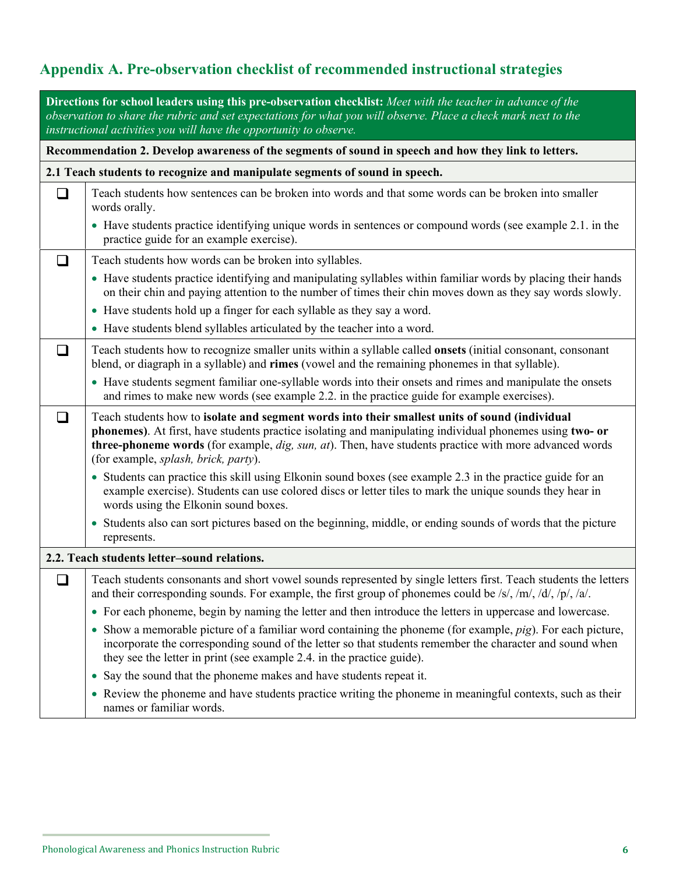# **Appendix A. Pre-observation checklist of recommended instructional strategies**

| Directions for school leaders using this pre-observation checklist: Meet with the teacher in advance of the<br>observation to share the rubric and set expectations for what you will observe. Place a check mark next to the<br>instructional activities you will have the opportunity to observe. |                                                                                                                                                                                                                                                                                                                                                              |  |  |  |  |
|-----------------------------------------------------------------------------------------------------------------------------------------------------------------------------------------------------------------------------------------------------------------------------------------------------|--------------------------------------------------------------------------------------------------------------------------------------------------------------------------------------------------------------------------------------------------------------------------------------------------------------------------------------------------------------|--|--|--|--|
| Recommendation 2. Develop awareness of the segments of sound in speech and how they link to letters.                                                                                                                                                                                                |                                                                                                                                                                                                                                                                                                                                                              |  |  |  |  |
| 2.1 Teach students to recognize and manipulate segments of sound in speech.                                                                                                                                                                                                                         |                                                                                                                                                                                                                                                                                                                                                              |  |  |  |  |
| $\Box$                                                                                                                                                                                                                                                                                              | Teach students how sentences can be broken into words and that some words can be broken into smaller<br>words orally.                                                                                                                                                                                                                                        |  |  |  |  |
|                                                                                                                                                                                                                                                                                                     | • Have students practice identifying unique words in sentences or compound words (see example 2.1. in the<br>practice guide for an example exercise).                                                                                                                                                                                                        |  |  |  |  |
| ❏                                                                                                                                                                                                                                                                                                   | Teach students how words can be broken into syllables.                                                                                                                                                                                                                                                                                                       |  |  |  |  |
|                                                                                                                                                                                                                                                                                                     | • Have students practice identifying and manipulating syllables within familiar words by placing their hands<br>on their chin and paying attention to the number of times their chin moves down as they say words slowly.                                                                                                                                    |  |  |  |  |
|                                                                                                                                                                                                                                                                                                     | • Have students hold up a finger for each syllable as they say a word.                                                                                                                                                                                                                                                                                       |  |  |  |  |
|                                                                                                                                                                                                                                                                                                     | • Have students blend syllables articulated by the teacher into a word.                                                                                                                                                                                                                                                                                      |  |  |  |  |
| ❏                                                                                                                                                                                                                                                                                                   | Teach students how to recognize smaller units within a syllable called <b>onsets</b> (initial consonant, consonant<br>blend, or diagraph in a syllable) and rimes (vowel and the remaining phonemes in that syllable).                                                                                                                                       |  |  |  |  |
|                                                                                                                                                                                                                                                                                                     | • Have students segment familiar one-syllable words into their onsets and rimes and manipulate the onsets<br>and rimes to make new words (see example 2.2. in the practice guide for example exercises).                                                                                                                                                     |  |  |  |  |
| ப                                                                                                                                                                                                                                                                                                   | Teach students how to isolate and segment words into their smallest units of sound (individual<br>phonemes). At first, have students practice isolating and manipulating individual phonemes using two- or<br>three-phoneme words (for example, dig, sun, at). Then, have students practice with more advanced words<br>(for example, splash, brick, party). |  |  |  |  |
|                                                                                                                                                                                                                                                                                                     | • Students can practice this skill using Elkonin sound boxes (see example 2.3 in the practice guide for an<br>example exercise). Students can use colored discs or letter tiles to mark the unique sounds they hear in<br>words using the Elkonin sound boxes.                                                                                               |  |  |  |  |
|                                                                                                                                                                                                                                                                                                     | • Students also can sort pictures based on the beginning, middle, or ending sounds of words that the picture<br>represents.                                                                                                                                                                                                                                  |  |  |  |  |
|                                                                                                                                                                                                                                                                                                     | 2.2. Teach students letter-sound relations.                                                                                                                                                                                                                                                                                                                  |  |  |  |  |
| $\Box$                                                                                                                                                                                                                                                                                              | Teach students consonants and short vowel sounds represented by single letters first. Teach students the letters<br>and their corresponding sounds. For example, the first group of phonemes could be /s/, /m/, /d/, /p/, /a/.                                                                                                                               |  |  |  |  |
|                                                                                                                                                                                                                                                                                                     | • For each phoneme, begin by naming the letter and then introduce the letters in uppercase and lowercase.                                                                                                                                                                                                                                                    |  |  |  |  |
|                                                                                                                                                                                                                                                                                                     | $\bullet$ Show a memorable picture of a familiar word containing the phoneme (for example, $pig$ ). For each picture,<br>incorporate the corresponding sound of the letter so that students remember the character and sound when<br>they see the letter in print (see example 2.4. in the practice guide).                                                  |  |  |  |  |
|                                                                                                                                                                                                                                                                                                     | Say the sound that the phoneme makes and have students repeat it.<br>$\bullet$                                                                                                                                                                                                                                                                               |  |  |  |  |
|                                                                                                                                                                                                                                                                                                     | • Review the phoneme and have students practice writing the phoneme in meaningful contexts, such as their<br>names or familiar words.                                                                                                                                                                                                                        |  |  |  |  |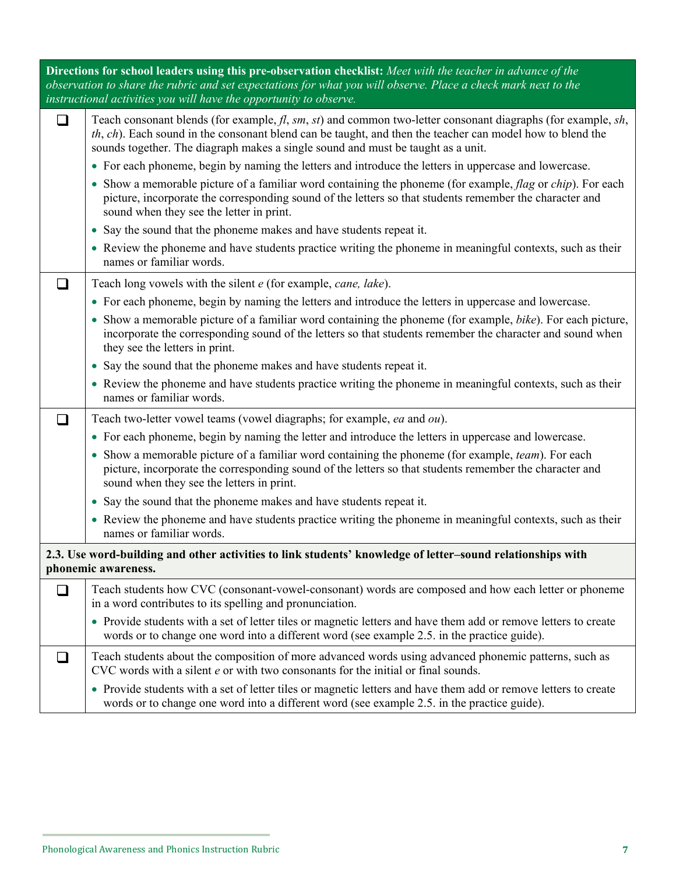| Directions for school leaders using this pre-observation checklist: Meet with the teacher in advance of the<br>observation to share the rubric and set expectations for what you will observe. Place a check mark next to the<br>instructional activities you will have the opportunity to observe. |                                                                                                                                                                                                                                                                                                                        |  |  |  |  |
|-----------------------------------------------------------------------------------------------------------------------------------------------------------------------------------------------------------------------------------------------------------------------------------------------------|------------------------------------------------------------------------------------------------------------------------------------------------------------------------------------------------------------------------------------------------------------------------------------------------------------------------|--|--|--|--|
|                                                                                                                                                                                                                                                                                                     | Teach consonant blends (for example, $fl$ , sm, st) and common two-letter consonant diagraphs (for example, sh,<br>$th$ , $ch$ ). Each sound in the consonant blend can be taught, and then the teacher can model how to blend the<br>sounds together. The diagraph makes a single sound and must be taught as a unit. |  |  |  |  |
|                                                                                                                                                                                                                                                                                                     | • For each phoneme, begin by naming the letters and introduce the letters in uppercase and lowercase.                                                                                                                                                                                                                  |  |  |  |  |
|                                                                                                                                                                                                                                                                                                     | • Show a memorable picture of a familiar word containing the phoneme (for example, flag or chip). For each<br>picture, incorporate the corresponding sound of the letters so that students remember the character and<br>sound when they see the letter in print.                                                      |  |  |  |  |
|                                                                                                                                                                                                                                                                                                     | • Say the sound that the phoneme makes and have students repeat it.                                                                                                                                                                                                                                                    |  |  |  |  |
|                                                                                                                                                                                                                                                                                                     | • Review the phoneme and have students practice writing the phoneme in meaningful contexts, such as their<br>names or familiar words.                                                                                                                                                                                  |  |  |  |  |
|                                                                                                                                                                                                                                                                                                     | Teach long vowels with the silent e (for example, cane, lake).                                                                                                                                                                                                                                                         |  |  |  |  |
|                                                                                                                                                                                                                                                                                                     | • For each phoneme, begin by naming the letters and introduce the letters in uppercase and lowercase.                                                                                                                                                                                                                  |  |  |  |  |
|                                                                                                                                                                                                                                                                                                     | • Show a memorable picture of a familiar word containing the phoneme (for example, bike). For each picture,<br>incorporate the corresponding sound of the letters so that students remember the character and sound when<br>they see the letters in print.                                                             |  |  |  |  |
|                                                                                                                                                                                                                                                                                                     | • Say the sound that the phoneme makes and have students repeat it.                                                                                                                                                                                                                                                    |  |  |  |  |
|                                                                                                                                                                                                                                                                                                     | • Review the phoneme and have students practice writing the phoneme in meaningful contexts, such as their<br>names or familiar words.                                                                                                                                                                                  |  |  |  |  |
|                                                                                                                                                                                                                                                                                                     | Teach two-letter vowel teams (vowel diagraphs; for example, ea and ou).                                                                                                                                                                                                                                                |  |  |  |  |
|                                                                                                                                                                                                                                                                                                     | • For each phoneme, begin by naming the letter and introduce the letters in uppercase and lowercase.                                                                                                                                                                                                                   |  |  |  |  |
|                                                                                                                                                                                                                                                                                                     | • Show a memorable picture of a familiar word containing the phoneme (for example, team). For each<br>picture, incorporate the corresponding sound of the letters so that students remember the character and<br>sound when they see the letters in print.                                                             |  |  |  |  |
|                                                                                                                                                                                                                                                                                                     | Say the sound that the phoneme makes and have students repeat it.                                                                                                                                                                                                                                                      |  |  |  |  |
|                                                                                                                                                                                                                                                                                                     | • Review the phoneme and have students practice writing the phoneme in meaningful contexts, such as their<br>names or familiar words.                                                                                                                                                                                  |  |  |  |  |
|                                                                                                                                                                                                                                                                                                     | 2.3. Use word-building and other activities to link students' knowledge of letter-sound relationships with<br>phonemic awareness.                                                                                                                                                                                      |  |  |  |  |
| $\Box$                                                                                                                                                                                                                                                                                              | Teach students how CVC (consonant-vowel-consonant) words are composed and how each letter or phoneme<br>in a word contributes to its spelling and pronunciation.                                                                                                                                                       |  |  |  |  |
|                                                                                                                                                                                                                                                                                                     | • Provide students with a set of letter tiles or magnetic letters and have them add or remove letters to create<br>words or to change one word into a different word (see example 2.5. in the practice guide).                                                                                                         |  |  |  |  |
| ப                                                                                                                                                                                                                                                                                                   | Teach students about the composition of more advanced words using advanced phonemic patterns, such as<br>CVC words with a silent e or with two consonants for the initial or final sounds.                                                                                                                             |  |  |  |  |
|                                                                                                                                                                                                                                                                                                     | • Provide students with a set of letter tiles or magnetic letters and have them add or remove letters to create<br>words or to change one word into a different word (see example 2.5. in the practice guide).                                                                                                         |  |  |  |  |

 $\bar{z}$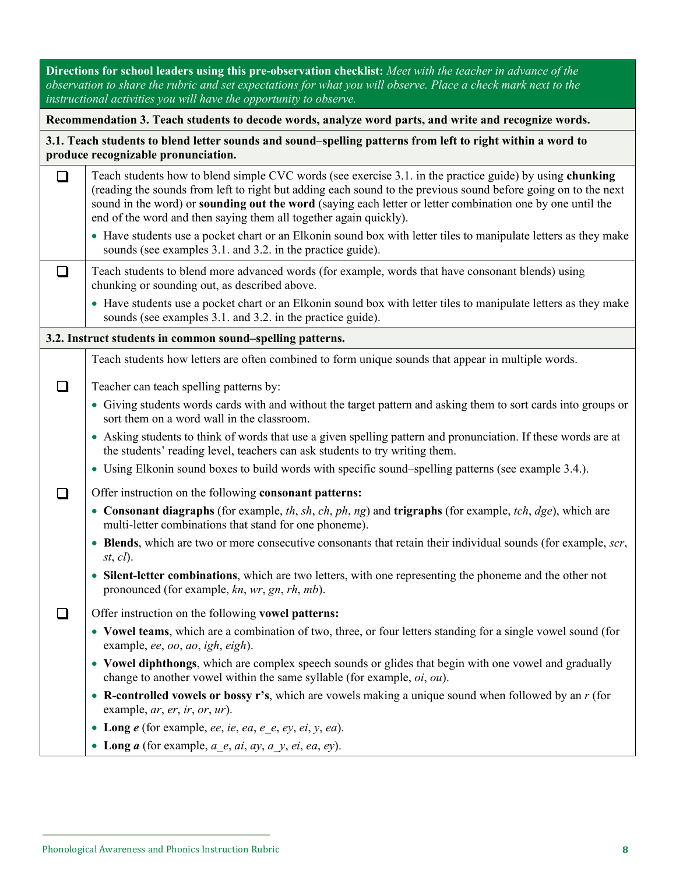| Directions for school leaders using this pre-observation checklist: Meet with the teacher in advance of the<br>observation to share the rubric and set expectations for what you will observe. Place a check mark next to the<br>instructional activities you will have the opportunity to observe. |                                                                                                                                                                                                                                                                                                                                                                                                               |  |  |  |  |  |  |  |
|-----------------------------------------------------------------------------------------------------------------------------------------------------------------------------------------------------------------------------------------------------------------------------------------------------|---------------------------------------------------------------------------------------------------------------------------------------------------------------------------------------------------------------------------------------------------------------------------------------------------------------------------------------------------------------------------------------------------------------|--|--|--|--|--|--|--|
| Recommendation 3. Teach students to decode words, analyze word parts, and write and recognize words.                                                                                                                                                                                                |                                                                                                                                                                                                                                                                                                                                                                                                               |  |  |  |  |  |  |  |
| 3.1. Teach students to blend letter sounds and sound–spelling patterns from left to right within a word to<br>produce recognizable pronunciation.                                                                                                                                                   |                                                                                                                                                                                                                                                                                                                                                                                                               |  |  |  |  |  |  |  |
| $\Box$                                                                                                                                                                                                                                                                                              | Teach students how to blend simple CVC words (see exercise 3.1. in the practice guide) by using chunking<br>(reading the sounds from left to right but adding each sound to the previous sound before going on to the next<br>sound in the word) or sounding out the word (saying each letter or letter combination one by one until the<br>end of the word and then saying them all together again quickly). |  |  |  |  |  |  |  |
|                                                                                                                                                                                                                                                                                                     | • Have students use a pocket chart or an Elkonin sound box with letter tiles to manipulate letters as they make<br>sounds (see examples 3.1. and 3.2. in the practice guide).                                                                                                                                                                                                                                 |  |  |  |  |  |  |  |
| ப                                                                                                                                                                                                                                                                                                   | Teach students to blend more advanced words (for example, words that have consonant blends) using<br>chunking or sounding out, as described above.                                                                                                                                                                                                                                                            |  |  |  |  |  |  |  |
|                                                                                                                                                                                                                                                                                                     | • Have students use a pocket chart or an Elkonin sound box with letter tiles to manipulate letters as they make<br>sounds (see examples 3.1. and 3.2. in the practice guide).                                                                                                                                                                                                                                 |  |  |  |  |  |  |  |
|                                                                                                                                                                                                                                                                                                     | 3.2. Instruct students in common sound-spelling patterns.                                                                                                                                                                                                                                                                                                                                                     |  |  |  |  |  |  |  |
|                                                                                                                                                                                                                                                                                                     | Teach students how letters are often combined to form unique sounds that appear in multiple words.                                                                                                                                                                                                                                                                                                            |  |  |  |  |  |  |  |
| l 1                                                                                                                                                                                                                                                                                                 | Teacher can teach spelling patterns by:                                                                                                                                                                                                                                                                                                                                                                       |  |  |  |  |  |  |  |
|                                                                                                                                                                                                                                                                                                     | • Giving students words cards with and without the target pattern and asking them to sort cards into groups or<br>sort them on a word wall in the classroom.                                                                                                                                                                                                                                                  |  |  |  |  |  |  |  |
|                                                                                                                                                                                                                                                                                                     | • Asking students to think of words that use a given spelling pattern and pronunciation. If these words are at<br>the students' reading level, teachers can ask students to try writing them.                                                                                                                                                                                                                 |  |  |  |  |  |  |  |
|                                                                                                                                                                                                                                                                                                     | • Using Elkonin sound boxes to build words with specific sound-spelling patterns (see example 3.4.).                                                                                                                                                                                                                                                                                                          |  |  |  |  |  |  |  |
|                                                                                                                                                                                                                                                                                                     | Offer instruction on the following consonant patterns:                                                                                                                                                                                                                                                                                                                                                        |  |  |  |  |  |  |  |
|                                                                                                                                                                                                                                                                                                     | • Consonant diagraphs (for example, th, sh, ch, ph, ng) and trigraphs (for example, tch, $dge$ ), which are<br>multi-letter combinations that stand for one phoneme).                                                                                                                                                                                                                                         |  |  |  |  |  |  |  |
|                                                                                                                                                                                                                                                                                                     | • Blends, which are two or more consecutive consonants that retain their individual sounds (for example, scr,<br>st, cl.                                                                                                                                                                                                                                                                                      |  |  |  |  |  |  |  |
|                                                                                                                                                                                                                                                                                                     | Silent-letter combinations, which are two letters, with one representing the phoneme and the other not<br>$\bullet$<br>pronounced (for example, kn, wr, gn, rh, mb).                                                                                                                                                                                                                                          |  |  |  |  |  |  |  |
|                                                                                                                                                                                                                                                                                                     | Offer instruction on the following vowel patterns:                                                                                                                                                                                                                                                                                                                                                            |  |  |  |  |  |  |  |
|                                                                                                                                                                                                                                                                                                     | • Vowel teams, which are a combination of two, three, or four letters standing for a single vowel sound (for<br>example, ee, oo, ao, igh, eigh).                                                                                                                                                                                                                                                              |  |  |  |  |  |  |  |
|                                                                                                                                                                                                                                                                                                     | • Vowel diphthongs, which are complex speech sounds or glides that begin with one vowel and gradually<br>change to another vowel within the same syllable (for example, $oi$ , $ou$ ).                                                                                                                                                                                                                        |  |  |  |  |  |  |  |
|                                                                                                                                                                                                                                                                                                     | • R-controlled vowels or bossy r's, which are vowels making a unique sound when followed by an $r$ (for<br>example, $ar, er, ir, or, ur$ ).                                                                                                                                                                                                                                                                   |  |  |  |  |  |  |  |
|                                                                                                                                                                                                                                                                                                     | • Long $e$ (for example, ee, ie, ea, e_e, ey, ei, y, ea).                                                                                                                                                                                                                                                                                                                                                     |  |  |  |  |  |  |  |
|                                                                                                                                                                                                                                                                                                     | • Long $a$ (for example, $a_e$ , $ai$ , $ay$ , $a_y$ , $ei$ , $ea$ , $ey$ ).                                                                                                                                                                                                                                                                                                                                  |  |  |  |  |  |  |  |

 $\sim$   $\sim$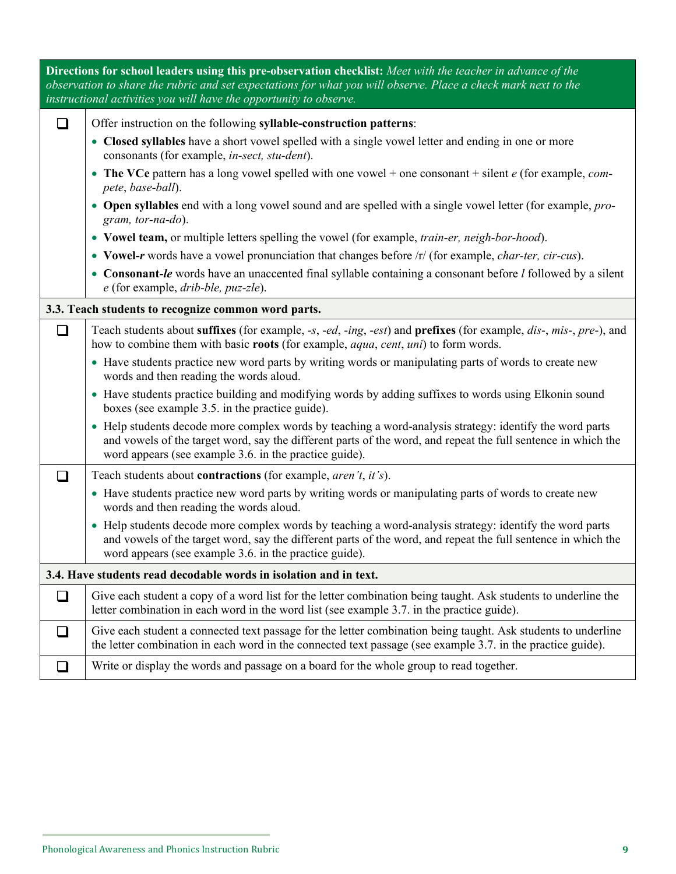|                                                                   | Directions for school leaders using this pre-observation checklist: Meet with the teacher in advance of the<br>observation to share the rubric and set expectations for what you will observe. Place a check mark next to the<br>instructional activities you will have the opportunity to observe. |  |  |  |  |  |  |
|-------------------------------------------------------------------|-----------------------------------------------------------------------------------------------------------------------------------------------------------------------------------------------------------------------------------------------------------------------------------------------------|--|--|--|--|--|--|
| $\Box$                                                            | Offer instruction on the following syllable-construction patterns:                                                                                                                                                                                                                                  |  |  |  |  |  |  |
|                                                                   | • Closed syllables have a short vowel spelled with a single vowel letter and ending in one or more<br>consonants (for example, in-sect, stu-dent).                                                                                                                                                  |  |  |  |  |  |  |
|                                                                   | • The VCe pattern has a long vowel spelled with one vowel + one consonant + silent $e$ (for example, <i>com</i> -<br>pete, base-ball).                                                                                                                                                              |  |  |  |  |  |  |
|                                                                   | • Open syllables end with a long vowel sound and are spelled with a single vowel letter (for example, pro-<br>gram, tor-na-do).                                                                                                                                                                     |  |  |  |  |  |  |
|                                                                   | • Vowel team, or multiple letters spelling the vowel (for example, <i>train-er</i> , <i>neigh-bor-hood</i> ).                                                                                                                                                                                       |  |  |  |  |  |  |
|                                                                   | • Vowel-r words have a vowel pronunciation that changes before /r/ (for example, <i>char-ter, cir-cus</i> ).                                                                                                                                                                                        |  |  |  |  |  |  |
|                                                                   | • Consonant-le words have an unaccented final syllable containing a consonant before l followed by a silent<br>e (for example, drib-ble, puz-zle).                                                                                                                                                  |  |  |  |  |  |  |
|                                                                   | 3.3. Teach students to recognize common word parts.                                                                                                                                                                                                                                                 |  |  |  |  |  |  |
| $\Box$                                                            | Teach students about suffixes (for example, -s, -ed, -ing, -est) and prefixes (for example, dis-, mis-, pre-), and<br>how to combine them with basic roots (for example, <i>aqua</i> , <i>cent</i> , <i>uni</i> ) to form words.                                                                    |  |  |  |  |  |  |
|                                                                   | • Have students practice new word parts by writing words or manipulating parts of words to create new<br>words and then reading the words aloud.                                                                                                                                                    |  |  |  |  |  |  |
|                                                                   | • Have students practice building and modifying words by adding suffixes to words using Elkonin sound<br>boxes (see example 3.5. in the practice guide).                                                                                                                                            |  |  |  |  |  |  |
|                                                                   | • Help students decode more complex words by teaching a word-analysis strategy: identify the word parts<br>and vowels of the target word, say the different parts of the word, and repeat the full sentence in which the<br>word appears (see example 3.6. in the practice guide).                  |  |  |  |  |  |  |
|                                                                   | Teach students about <b>contractions</b> (for example, <i>aren't</i> , <i>it's</i> ).                                                                                                                                                                                                               |  |  |  |  |  |  |
|                                                                   | • Have students practice new word parts by writing words or manipulating parts of words to create new<br>words and then reading the words aloud.                                                                                                                                                    |  |  |  |  |  |  |
|                                                                   | • Help students decode more complex words by teaching a word-analysis strategy: identify the word parts<br>and vowels of the target word, say the different parts of the word, and repeat the full sentence in which the<br>word appears (see example 3.6. in the practice guide).                  |  |  |  |  |  |  |
| 3.4. Have students read decodable words in isolation and in text. |                                                                                                                                                                                                                                                                                                     |  |  |  |  |  |  |
| $\sqcup$                                                          | Give each student a copy of a word list for the letter combination being taught. Ask students to underline the<br>letter combination in each word in the word list (see example 3.7. in the practice guide).                                                                                        |  |  |  |  |  |  |
| ப                                                                 | Give each student a connected text passage for the letter combination being taught. Ask students to underline<br>the letter combination in each word in the connected text passage (see example 3.7. in the practice guide).                                                                        |  |  |  |  |  |  |
| ⊔                                                                 | Write or display the words and passage on a board for the whole group to read together.                                                                                                                                                                                                             |  |  |  |  |  |  |

#### Phonological Awareness and Phonics Instruction Rubric **9**

 $\sim 10$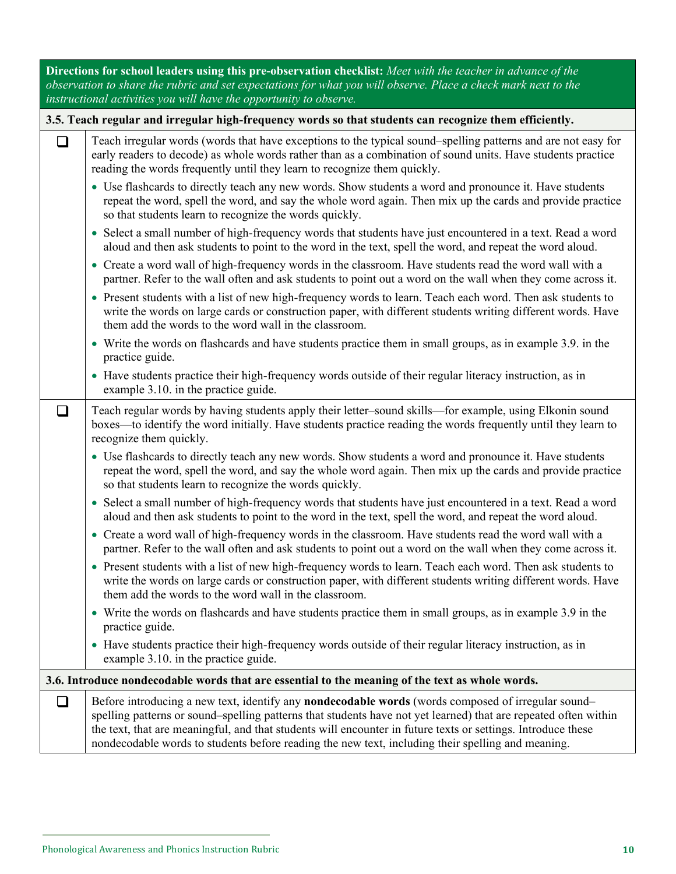| Directions for school leaders using this pre-observation checklist: Meet with the teacher in advance of the<br>observation to share the rubric and set expectations for what you will observe. Place a check mark next to the<br>instructional activities you will have the opportunity to observe. |                                                                                                                                                                                                                                                                                                                                                                                                                                                   |  |  |  |  |  |
|-----------------------------------------------------------------------------------------------------------------------------------------------------------------------------------------------------------------------------------------------------------------------------------------------------|---------------------------------------------------------------------------------------------------------------------------------------------------------------------------------------------------------------------------------------------------------------------------------------------------------------------------------------------------------------------------------------------------------------------------------------------------|--|--|--|--|--|
| 3.5. Teach regular and irregular high-frequency words so that students can recognize them efficiently.                                                                                                                                                                                              |                                                                                                                                                                                                                                                                                                                                                                                                                                                   |  |  |  |  |  |
| $\Box$                                                                                                                                                                                                                                                                                              | Teach irregular words (words that have exceptions to the typical sound-spelling patterns and are not easy for<br>early readers to decode) as whole words rather than as a combination of sound units. Have students practice<br>reading the words frequently until they learn to recognize them quickly.                                                                                                                                          |  |  |  |  |  |
|                                                                                                                                                                                                                                                                                                     | • Use flashcards to directly teach any new words. Show students a word and pronounce it. Have students<br>repeat the word, spell the word, and say the whole word again. Then mix up the cards and provide practice<br>so that students learn to recognize the words quickly.                                                                                                                                                                     |  |  |  |  |  |
|                                                                                                                                                                                                                                                                                                     | • Select a small number of high-frequency words that students have just encountered in a text. Read a word<br>aloud and then ask students to point to the word in the text, spell the word, and repeat the word aloud.                                                                                                                                                                                                                            |  |  |  |  |  |
|                                                                                                                                                                                                                                                                                                     | • Create a word wall of high-frequency words in the classroom. Have students read the word wall with a<br>partner. Refer to the wall often and ask students to point out a word on the wall when they come across it.                                                                                                                                                                                                                             |  |  |  |  |  |
|                                                                                                                                                                                                                                                                                                     | • Present students with a list of new high-frequency words to learn. Teach each word. Then ask students to<br>write the words on large cards or construction paper, with different students writing different words. Have<br>them add the words to the word wall in the classroom.                                                                                                                                                                |  |  |  |  |  |
|                                                                                                                                                                                                                                                                                                     | • Write the words on flashcards and have students practice them in small groups, as in example 3.9. in the<br>practice guide.                                                                                                                                                                                                                                                                                                                     |  |  |  |  |  |
|                                                                                                                                                                                                                                                                                                     | • Have students practice their high-frequency words outside of their regular literacy instruction, as in<br>example 3.10. in the practice guide.                                                                                                                                                                                                                                                                                                  |  |  |  |  |  |
| ப                                                                                                                                                                                                                                                                                                   | Teach regular words by having students apply their letter–sound skills—for example, using Elkonin sound<br>boxes—to identify the word initially. Have students practice reading the words frequently until they learn to<br>recognize them quickly.                                                                                                                                                                                               |  |  |  |  |  |
|                                                                                                                                                                                                                                                                                                     | • Use flashcards to directly teach any new words. Show students a word and pronounce it. Have students<br>repeat the word, spell the word, and say the whole word again. Then mix up the cards and provide practice<br>so that students learn to recognize the words quickly.                                                                                                                                                                     |  |  |  |  |  |
|                                                                                                                                                                                                                                                                                                     | • Select a small number of high-frequency words that students have just encountered in a text. Read a word<br>aloud and then ask students to point to the word in the text, spell the word, and repeat the word aloud.                                                                                                                                                                                                                            |  |  |  |  |  |
|                                                                                                                                                                                                                                                                                                     | • Create a word wall of high-frequency words in the classroom. Have students read the word wall with a<br>partner. Refer to the wall often and ask students to point out a word on the wall when they come across it.                                                                                                                                                                                                                             |  |  |  |  |  |
|                                                                                                                                                                                                                                                                                                     | • Present students with a list of new high-frequency words to learn. Teach each word. Then ask students to<br>write the words on large cards or construction paper, with different students writing different words. Have<br>them add the words to the word wall in the classroom.                                                                                                                                                                |  |  |  |  |  |
|                                                                                                                                                                                                                                                                                                     | • Write the words on flashcards and have students practice them in small groups, as in example 3.9 in the<br>practice guide.                                                                                                                                                                                                                                                                                                                      |  |  |  |  |  |
|                                                                                                                                                                                                                                                                                                     | • Have students practice their high-frequency words outside of their regular literacy instruction, as in<br>example 3.10. in the practice guide.                                                                                                                                                                                                                                                                                                  |  |  |  |  |  |
|                                                                                                                                                                                                                                                                                                     | 3.6. Introduce nondecodable words that are essential to the meaning of the text as whole words.                                                                                                                                                                                                                                                                                                                                                   |  |  |  |  |  |
| $\Box$                                                                                                                                                                                                                                                                                              | Before introducing a new text, identify any <b>nondecodable words</b> (words composed of irregular sound–<br>spelling patterns or sound–spelling patterns that students have not yet learned) that are repeated often within<br>the text, that are meaningful, and that students will encounter in future texts or settings. Introduce these<br>nondecodable words to students before reading the new text, including their spelling and meaning. |  |  |  |  |  |

 $\mathcal{L}_{\mathcal{A}}$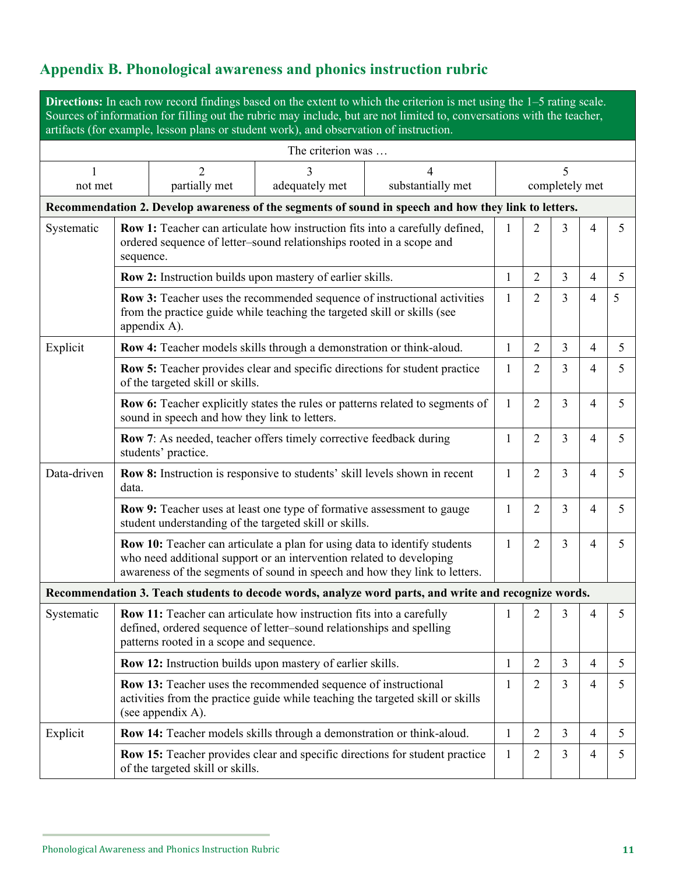## **Appendix B. Phonological awareness and phonics instruction rubric**

**Directions:** In each row record findings based on the extent to which the criterion is met using the 1–5 rating scale. Sources of information for filling out the rubric may include, but are not limited to, conversations with the teacher, artifacts (for example, lesson plans or student work), and observation of instruction.

| The criterion was                                                                                    |                                                                                                                                                                                                                                 |                                          |                                                                                                                                                     |                                                                                                      |                     |                |                |                |    |
|------------------------------------------------------------------------------------------------------|---------------------------------------------------------------------------------------------------------------------------------------------------------------------------------------------------------------------------------|------------------------------------------|-----------------------------------------------------------------------------------------------------------------------------------------------------|------------------------------------------------------------------------------------------------------|---------------------|----------------|----------------|----------------|----|
| 1<br>not met                                                                                         |                                                                                                                                                                                                                                 | $\overline{2}$<br>partially met          | 3<br>adequately met                                                                                                                                 | 4<br>substantially met                                                                               | 5<br>completely met |                |                |                |    |
| Recommendation 2. Develop awareness of the segments of sound in speech and how they link to letters. |                                                                                                                                                                                                                                 |                                          |                                                                                                                                                     |                                                                                                      |                     |                |                |                |    |
| Systematic                                                                                           | Row 1: Teacher can articulate how instruction fits into a carefully defined,<br>ordered sequence of letter-sound relationships rooted in a scope and<br>sequence.                                                               |                                          |                                                                                                                                                     |                                                                                                      | 1                   | 2              | 3              | 4              | 5  |
|                                                                                                      | Row 2: Instruction builds upon mastery of earlier skills.                                                                                                                                                                       |                                          |                                                                                                                                                     |                                                                                                      |                     | $\overline{2}$ | $\overline{3}$ | 4              | 5  |
|                                                                                                      | Row 3: Teacher uses the recommended sequence of instructional activities<br>from the practice guide while teaching the targeted skill or skills (see<br>appendix A).                                                            |                                          |                                                                                                                                                     |                                                                                                      | 1                   | $\overline{2}$ | 3              | 4              | 5  |
| Explicit                                                                                             |                                                                                                                                                                                                                                 |                                          | Row 4: Teacher models skills through a demonstration or think-aloud.                                                                                |                                                                                                      | 1                   | $\overline{2}$ | $\overline{3}$ | 4              | 5  |
|                                                                                                      |                                                                                                                                                                                                                                 | of the targeted skill or skills.         |                                                                                                                                                     | Row 5: Teacher provides clear and specific directions for student practice                           | 1                   | $\overline{2}$ | $\overline{3}$ | 4              | 5  |
|                                                                                                      | Row 6: Teacher explicitly states the rules or patterns related to segments of<br>sound in speech and how they link to letters.                                                                                                  |                                          |                                                                                                                                                     |                                                                                                      | 1                   | $\overline{2}$ | 3              | $\overline{4}$ | 5  |
|                                                                                                      | Row 7: As needed, teacher offers timely corrective feedback during<br>students' practice.                                                                                                                                       |                                          |                                                                                                                                                     |                                                                                                      |                     | $\overline{2}$ | 3              | $\overline{4}$ | 5. |
| Data-driven                                                                                          | data.                                                                                                                                                                                                                           |                                          |                                                                                                                                                     | Row 8: Instruction is responsive to students' skill levels shown in recent                           | 1                   | $\overline{2}$ | 3              | 4              | 5. |
|                                                                                                      | Row 9: Teacher uses at least one type of formative assessment to gauge<br>student understanding of the targeted skill or skills.                                                                                                |                                          |                                                                                                                                                     |                                                                                                      |                     | $\overline{2}$ | $\overline{3}$ | $\overline{4}$ | 5  |
|                                                                                                      | Row 10: Teacher can articulate a plan for using data to identify students<br>who need additional support or an intervention related to developing<br>awareness of the segments of sound in speech and how they link to letters. |                                          |                                                                                                                                                     |                                                                                                      |                     | $\overline{2}$ | $\overline{3}$ | 4              | 5. |
|                                                                                                      |                                                                                                                                                                                                                                 |                                          |                                                                                                                                                     | Recommendation 3. Teach students to decode words, analyze word parts, and write and recognize words. |                     |                |                |                |    |
| Systematic                                                                                           |                                                                                                                                                                                                                                 | patterns rooted in a scope and sequence. | <b>Row 11:</b> Teacher can articulate how instruction fits into a carefully<br>defined, ordered sequence of letter-sound relationships and spelling |                                                                                                      | 1                   | $\overline{2}$ | 3              | 4              | 5  |
|                                                                                                      |                                                                                                                                                                                                                                 |                                          | Row 12: Instruction builds upon mastery of earlier skills.                                                                                          |                                                                                                      | 1                   | $\overline{2}$ | $\overline{3}$ | 4              | 5  |
|                                                                                                      | <b>Row 13:</b> Teacher uses the recommended sequence of instructional<br>activities from the practice guide while teaching the targeted skill or skills<br>(see appendix A).                                                    |                                          |                                                                                                                                                     |                                                                                                      | 1                   | $\overline{2}$ | $\overline{3}$ | 4              | 5  |
| Explicit                                                                                             |                                                                                                                                                                                                                                 |                                          | Row 14: Teacher models skills through a demonstration or think-aloud.                                                                               |                                                                                                      | $\mathbf{1}$        | $\overline{2}$ | $\overline{3}$ | 4              | 5  |
|                                                                                                      |                                                                                                                                                                                                                                 | of the targeted skill or skills.         |                                                                                                                                                     | Row 15: Teacher provides clear and specific directions for student practice                          | 1                   | $\overline{2}$ | $\overline{3}$ | 4              | 5  |